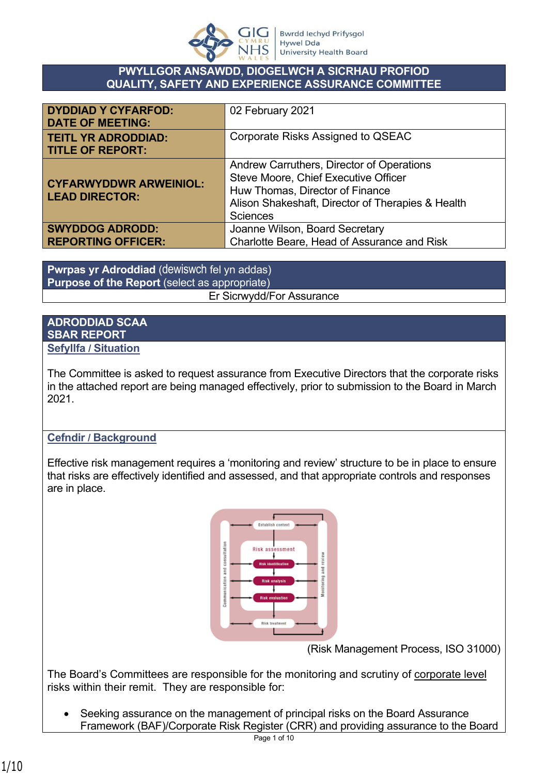

#### **PWYLLGOR ANSAWDD, DIOGELWCH A SICRHAU PROFIOD QUALITY, SAFETY AND EXPERIENCE ASSURANCE COMMITTEE**

| <b>DYDDIAD Y CYFARFOD:</b><br><b>DATE OF MEETING:</b>  | 02 February 2021                                                                                                                                                                             |
|--------------------------------------------------------|----------------------------------------------------------------------------------------------------------------------------------------------------------------------------------------------|
| <b>TEITL YR ADRODDIAD:</b><br><b>TITLE OF REPORT:</b>  | Corporate Risks Assigned to QSEAC                                                                                                                                                            |
| <b>CYFARWYDDWR ARWEINIOL:</b><br><b>LEAD DIRECTOR:</b> | Andrew Carruthers, Director of Operations<br>Steve Moore, Chief Executive Officer<br>Huw Thomas, Director of Finance<br>Alison Shakeshaft, Director of Therapies & Health<br><b>Sciences</b> |
| <b>SWYDDOG ADRODD:</b>                                 | Joanne Wilson, Board Secretary                                                                                                                                                               |
| <b>REPORTING OFFICER:</b>                              | Charlotte Beare, Head of Assurance and Risk                                                                                                                                                  |

**Pwrpas yr Adroddiad** (dewiswch fel yn addas) **Purpose of the Report** (select as appropriate) Er Sicrwydd/For Assurance

#### **ADRODDIAD SCAA SBAR REPORT Sefyllfa / Situation**

The Committee is asked to request assurance from Executive Directors that the corporate risks in the attached report are being managed effectively, prior to submission to the Board in March 2021.

### **Cefndir / Background**

Effective risk management requires a 'monitoring and review' structure to be in place to ensure that risks are effectively identified and assessed, and that appropriate controls and responses are in place.



(Risk Management Process, ISO 31000)

The Board's Committees are responsible for the monitoring and scrutiny of corporate level risks within their remit. They are responsible for:

 Seeking assurance on the management of principal risks on the Board Assurance Framework (BAF)/Corporate Risk Register (CRR) and providing assurance to the Board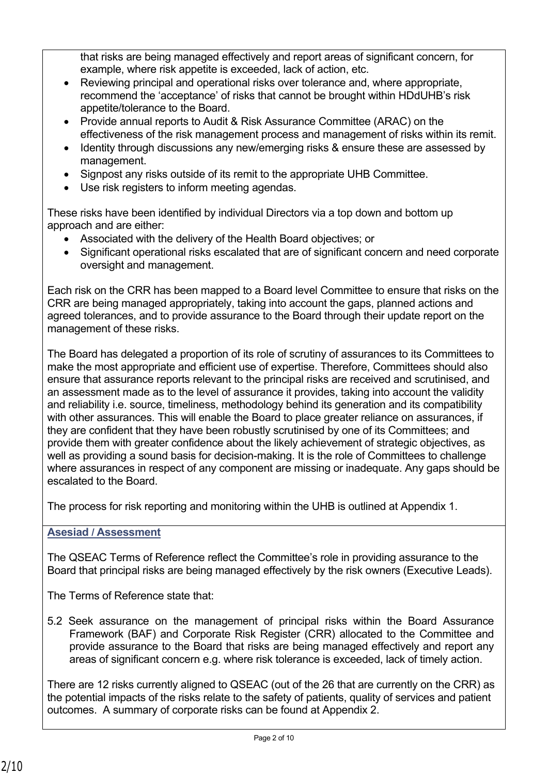that risks are being managed effectively and report areas of significant concern, for example, where risk appetite is exceeded, lack of action, etc.

- Reviewing principal and operational risks over tolerance and, where appropriate, recommend the 'acceptance' of risks that cannot be brought within HDdUHB's risk appetite/tolerance to the Board.
- Provide annual reports to Audit & Risk Assurance Committee (ARAC) on the effectiveness of the risk management process and management of risks within its remit.
- Identity through discussions any new/emerging risks & ensure these are assessed by management.
- Signpost any risks outside of its remit to the appropriate UHB Committee.
- Use risk registers to inform meeting agendas.

These risks have been identified by individual Directors via a top down and bottom up approach and are either:

- Associated with the delivery of the Health Board objectives; or
- Significant operational risks escalated that are of significant concern and need corporate oversight and management.

Each risk on the CRR has been mapped to a Board level Committee to ensure that risks on the CRR are being managed appropriately, taking into account the gaps, planned actions and agreed tolerances, and to provide assurance to the Board through their update report on the management of these risks.

The Board has delegated a proportion of its role of scrutiny of assurances to its Committees to make the most appropriate and efficient use of expertise. Therefore, Committees should also ensure that assurance reports relevant to the principal risks are received and scrutinised, and an assessment made as to the level of assurance it provides, taking into account the validity and reliability i.e. source, timeliness, methodology behind its generation and its compatibility with other assurances. This will enable the Board to place greater reliance on assurances, if they are confident that they have been robustly scrutinised by one of its Committees; and provide them with greater confidence about the likely achievement of strategic objectives, as well as providing a sound basis for decision-making. It is the role of Committees to challenge where assurances in respect of any component are missing or inadequate. Any gaps should be escalated to the Board.

The process for risk reporting and monitoring within the UHB is outlined at Appendix 1.

# **Asesiad / Assessment**

The QSEAC Terms of Reference reflect the Committee's role in providing assurance to the Board that principal risks are being managed effectively by the risk owners (Executive Leads).

The Terms of Reference state that:

5.2 Seek assurance on the management of principal risks within the Board Assurance Framework (BAF) and Corporate Risk Register (CRR) allocated to the Committee and provide assurance to the Board that risks are being managed effectively and report any areas of significant concern e.g. where risk tolerance is exceeded, lack of timely action.

There are 12 risks currently aligned to QSEAC (out of the 26 that are currently on the CRR) as the potential impacts of the risks relate to the safety of patients, quality of services and patient outcomes. A summary of corporate risks can be found at Appendix 2.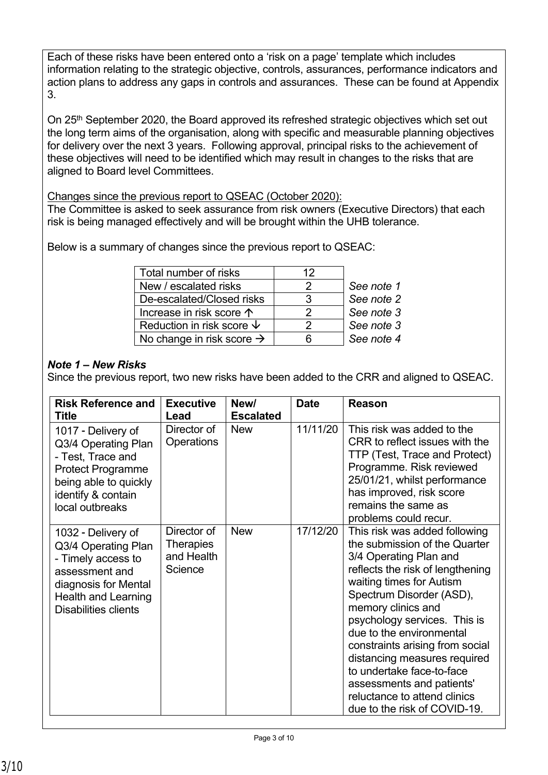Each of these risks have been entered onto a 'risk on a page' template which includes information relating to the strategic objective, controls, assurances, performance indicators and action plans to address any gaps in controls and assurances. These can be found at Appendix 3.

On 25<sup>th</sup> September 2020, the Board approved its refreshed strategic objectives which set out the long term aims of the organisation, along with specific and measurable planning objectives for delivery over the next 3 years. Following approval, principal risks to the achievement of these objectives will need to be identified which may result in changes to the risks that are aligned to Board level Committees.

Changes since the previous report to QSEAC (October 2020):

The Committee is asked to seek assurance from risk owners (Executive Directors) that each risk is being managed effectively and will be brought within the UHB tolerance.

Below is a summary of changes since the previous report to QSEAC:

| 12 |            |
|----|------------|
|    | See note 1 |
|    | See note 2 |
| 2  | See note 3 |
| 2  | See note 3 |
|    | See note 4 |
|    |            |

# *Note 1 – New Risks*

Since the previous report, two new risks have been added to the CRR and aligned to QSEAC.

| <b>Risk Reference and</b>                                                                                                                                                    | <b>Executive</b>                                         | New/                           | <b>Date</b> | <b>Reason</b>                                                                                                                                                                                                                                                                                                                                                                                                                                                       |
|------------------------------------------------------------------------------------------------------------------------------------------------------------------------------|----------------------------------------------------------|--------------------------------|-------------|---------------------------------------------------------------------------------------------------------------------------------------------------------------------------------------------------------------------------------------------------------------------------------------------------------------------------------------------------------------------------------------------------------------------------------------------------------------------|
| <b>Title</b><br>1017 - Delivery of<br>Q3/4 Operating Plan<br>- Test, Trace and<br><b>Protect Programme</b><br>being able to quickly<br>identify & contain<br>local outbreaks | Lead<br>Director of<br><b>Operations</b>                 | <b>Escalated</b><br><b>New</b> | 11/11/20    | This risk was added to the<br>CRR to reflect issues with the<br>TTP (Test, Trace and Protect)<br>Programme. Risk reviewed<br>25/01/21, whilst performance<br>has improved, risk score<br>remains the same as<br>problems could recur.                                                                                                                                                                                                                               |
| 1032 - Delivery of<br>Q3/4 Operating Plan<br>- Timely access to<br>assessment and<br>diagnosis for Mental<br><b>Health and Learning</b><br><b>Disabilities clients</b>       | Director of<br><b>Therapies</b><br>and Health<br>Science | <b>New</b>                     | 17/12/20    | This risk was added following<br>the submission of the Quarter<br>3/4 Operating Plan and<br>reflects the risk of lengthening<br>waiting times for Autism<br>Spectrum Disorder (ASD),<br>memory clinics and<br>psychology services. This is<br>due to the environmental<br>constraints arising from social<br>distancing measures required<br>to undertake face-to-face<br>assessments and patients'<br>reluctance to attend clinics<br>due to the risk of COVID-19. |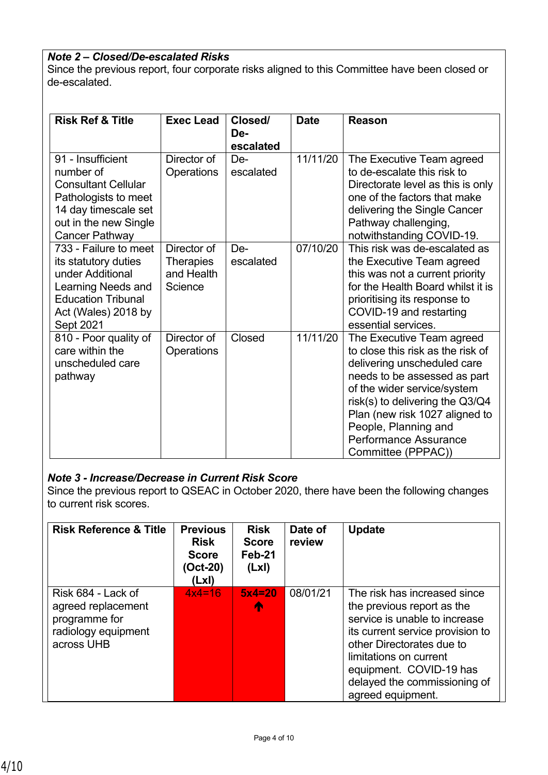### *Note 2 – Closed/De-escalated Risks*

Since the previous report, four corporate risks aligned to this Committee have been closed or de-escalated.

| <b>Risk Ref &amp; Title</b>                                                                                                                                    | <b>Exec Lead</b>                                         | Closed/<br>De-<br>escalated | <b>Date</b> | <b>Reason</b>                                                                                                                                                                                                                                                                                            |
|----------------------------------------------------------------------------------------------------------------------------------------------------------------|----------------------------------------------------------|-----------------------------|-------------|----------------------------------------------------------------------------------------------------------------------------------------------------------------------------------------------------------------------------------------------------------------------------------------------------------|
| 91 - Insufficient<br>number of<br><b>Consultant Cellular</b><br>Pathologists to meet<br>14 day timescale set<br>out in the new Single<br><b>Cancer Pathway</b> | Director of<br>Operations                                | De-<br>escalated            | 11/11/20    | The Executive Team agreed<br>to de-escalate this risk to<br>Directorate level as this is only<br>one of the factors that make<br>delivering the Single Cancer<br>Pathway challenging,<br>notwithstanding COVID-19.                                                                                       |
| 733 - Failure to meet<br>its statutory duties<br>under Additional<br>Learning Needs and<br><b>Education Tribunal</b><br>Act (Wales) 2018 by<br>Sept 2021       | Director of<br><b>Therapies</b><br>and Health<br>Science | De-<br>escalated            | 07/10/20    | This risk was de-escalated as<br>the Executive Team agreed<br>this was not a current priority<br>for the Health Board whilst it is<br>prioritising its response to<br>COVID-19 and restarting<br>essential services.                                                                                     |
| 810 - Poor quality of<br>care within the<br>unscheduled care<br>pathway                                                                                        | Director of<br>Operations                                | Closed                      | 11/11/20    | The Executive Team agreed<br>to close this risk as the risk of<br>delivering unscheduled care<br>needs to be assessed as part<br>of the wider service/system<br>risk(s) to delivering the Q3/Q4<br>Plan (new risk 1027 aligned to<br>People, Planning and<br>Performance Assurance<br>Committee (PPPAC)) |

#### *Note 3 - Increase/Decrease in Current Risk Score*

Since the previous report to QSEAC in October 2020, there have been the following changes to current risk scores.

| <b>Risk Reference &amp; Title</b>                                                              | <b>Previous</b><br><b>Risk</b><br><b>Score</b><br>(Oct-20)<br>(LxI) | <b>Risk</b><br><b>Score</b><br>Feb-21<br>(Lx) | Date of<br>review | <b>Update</b>                                                                                                                                                                                                                                                          |
|------------------------------------------------------------------------------------------------|---------------------------------------------------------------------|-----------------------------------------------|-------------------|------------------------------------------------------------------------------------------------------------------------------------------------------------------------------------------------------------------------------------------------------------------------|
| Risk 684 - Lack of<br>agreed replacement<br>programme for<br>radiology equipment<br>across UHB | $4x4=16$                                                            | $5x4=20$<br>个                                 | 08/01/21          | The risk has increased since<br>the previous report as the<br>service is unable to increase<br>its current service provision to<br>other Directorates due to<br>limitations on current<br>equipment. COVID-19 has<br>delayed the commissioning of<br>agreed equipment. |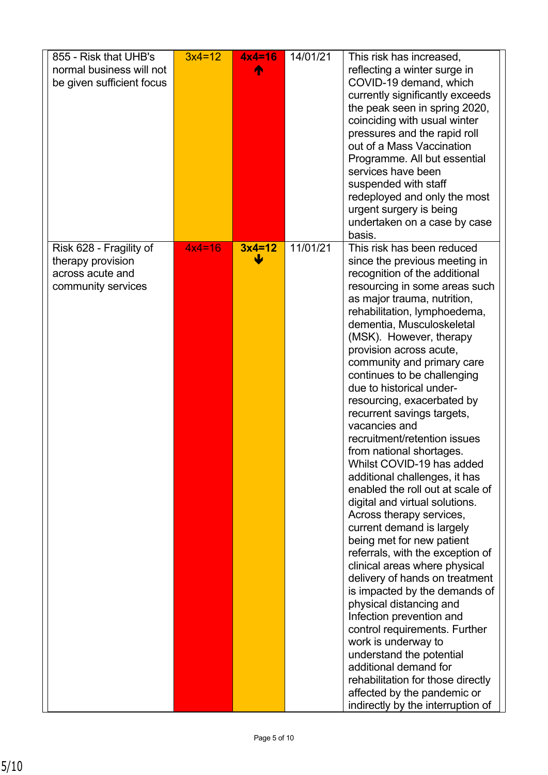| 855 - Risk that UHB's<br>normal business will not<br>be given sufficient focus         | $3x4=12$ | $4x4=16$<br>⋒ | 14/01/21 | This risk has increased,<br>reflecting a winter surge in<br>COVID-19 demand, which<br>currently significantly exceeds<br>the peak seen in spring 2020,<br>coinciding with usual winter<br>pressures and the rapid roll<br>out of a Mass Vaccination<br>Programme. All but essential<br>services have been<br>suspended with staff<br>redeployed and only the most<br>urgent surgery is being<br>undertaken on a case by case<br>basis.                                                                                                                                                                                                                                                                                                                                                                                                                                                                                                                                                                                                                                                                                                                           |
|----------------------------------------------------------------------------------------|----------|---------------|----------|------------------------------------------------------------------------------------------------------------------------------------------------------------------------------------------------------------------------------------------------------------------------------------------------------------------------------------------------------------------------------------------------------------------------------------------------------------------------------------------------------------------------------------------------------------------------------------------------------------------------------------------------------------------------------------------------------------------------------------------------------------------------------------------------------------------------------------------------------------------------------------------------------------------------------------------------------------------------------------------------------------------------------------------------------------------------------------------------------------------------------------------------------------------|
| Risk 628 - Fragility of<br>therapy provision<br>across acute and<br>community services | $4x4=16$ | $3x4=12$<br>W | 11/01/21 | This risk has been reduced<br>since the previous meeting in<br>recognition of the additional<br>resourcing in some areas such<br>as major trauma, nutrition,<br>rehabilitation, lymphoedema,<br>dementia, Musculoskeletal<br>(MSK). However, therapy<br>provision across acute,<br>community and primary care<br>continues to be challenging<br>due to historical under-<br>resourcing, exacerbated by<br>recurrent savings targets,<br>vacancies and<br>recruitment/retention issues<br>from national shortages.<br>Whilst COVID-19 has added<br>additional challenges, it has<br>enabled the roll out at scale of<br>digital and virtual solutions.<br>Across therapy services,<br>current demand is largely<br>being met for new patient<br>referrals, with the exception of<br>clinical areas where physical<br>delivery of hands on treatment<br>is impacted by the demands of<br>physical distancing and<br>Infection prevention and<br>control requirements. Further<br>work is underway to<br>understand the potential<br>additional demand for<br>rehabilitation for those directly<br>affected by the pandemic or<br>indirectly by the interruption of |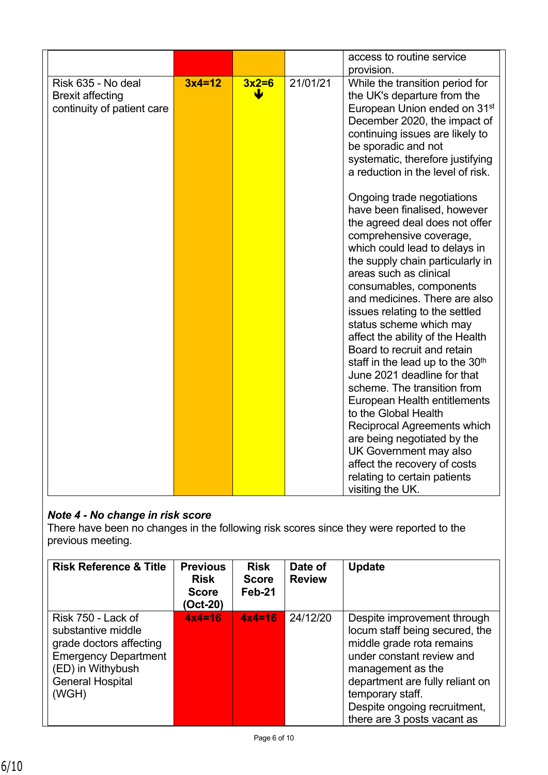| provision.<br>21/01/21<br>Risk 635 - No deal<br>$3x4=12$<br>$3x2=6$<br>While the transition period for<br>the UK's departure from the<br><b>Brexit affecting</b><br>European Union ended on 31 <sup>st</sup><br>continuity of patient care<br>December 2020, the impact of<br>continuing issues are likely to<br>be sporadic and not<br>systematic, therefore justifying<br>a reduction in the level of risk.                                                                                                                                                                                                                                                                                                                                                        |  |
|----------------------------------------------------------------------------------------------------------------------------------------------------------------------------------------------------------------------------------------------------------------------------------------------------------------------------------------------------------------------------------------------------------------------------------------------------------------------------------------------------------------------------------------------------------------------------------------------------------------------------------------------------------------------------------------------------------------------------------------------------------------------|--|
| Ongoing trade negotiations<br>have been finalised, however<br>the agreed deal does not offer<br>comprehensive coverage,<br>which could lead to delays in<br>the supply chain particularly in<br>areas such as clinical<br>consumables, components<br>and medicines. There are also<br>issues relating to the settled<br>status scheme which may<br>affect the ability of the Health<br>Board to recruit and retain<br>staff in the lead up to the 30 <sup>th</sup><br>June 2021 deadline for that<br>scheme. The transition from<br>European Health entitlements<br>to the Global Health<br>Reciprocal Agreements which<br>are being negotiated by the<br>UK Government may also<br>affect the recovery of costs<br>relating to certain patients<br>visiting the UK. |  |

# *Note 4 - No change in risk score*

There have been no changes in the following risk scores since they were reported to the previous meeting.

| <b>Risk Reference &amp; Title</b>                                                                                                                           | <b>Previous</b><br><b>Risk</b><br><b>Score</b><br>(Oct-20) | <b>Risk</b><br><b>Score</b><br>Feb-21 | Date of<br><b>Review</b> | <b>Update</b>                                                                                                                                                                                                                                                      |
|-------------------------------------------------------------------------------------------------------------------------------------------------------------|------------------------------------------------------------|---------------------------------------|--------------------------|--------------------------------------------------------------------------------------------------------------------------------------------------------------------------------------------------------------------------------------------------------------------|
| Risk 750 - Lack of<br>substantive middle<br>grade doctors affecting<br><b>Emergency Department</b><br>(ED) in Withybush<br><b>General Hospital</b><br>(WGH) | $4x4=16$                                                   | $4x4=16$                              | 24/12/20                 | Despite improvement through<br>locum staff being secured, the<br>middle grade rota remains<br>under constant review and<br>management as the<br>department are fully reliant on<br>temporary staff.<br>Despite ongoing recruitment,<br>there are 3 posts vacant as |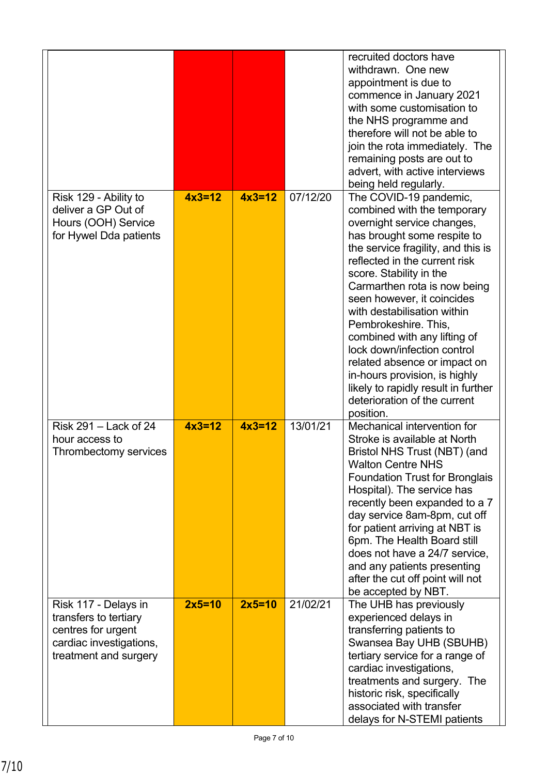|                                                                                                                         |          |          |          | recruited doctors have<br>withdrawn. One new<br>appointment is due to<br>commence in January 2021<br>with some customisation to<br>the NHS programme and<br>therefore will not be able to<br>join the rota immediately. The<br>remaining posts are out to<br>advert, with active interviews<br>being held regularly.                                                                                                                                                                                                                                          |
|-------------------------------------------------------------------------------------------------------------------------|----------|----------|----------|---------------------------------------------------------------------------------------------------------------------------------------------------------------------------------------------------------------------------------------------------------------------------------------------------------------------------------------------------------------------------------------------------------------------------------------------------------------------------------------------------------------------------------------------------------------|
| Risk 129 - Ability to<br>deliver a GP Out of<br>Hours (OOH) Service<br>for Hywel Dda patients                           | $4x3=12$ | $4x3=12$ | 07/12/20 | The COVID-19 pandemic,<br>combined with the temporary<br>overnight service changes,<br>has brought some respite to<br>the service fragility, and this is<br>reflected in the current risk<br>score. Stability in the<br>Carmarthen rota is now being<br>seen however, it coincides<br>with destabilisation within<br>Pembrokeshire. This,<br>combined with any lifting of<br>lock down/infection control<br>related absence or impact on<br>in-hours provision, is highly<br>likely to rapidly result in further<br>deterioration of the current<br>position. |
| Risk 291 - Lack of 24<br>hour access to<br>Thrombectomy services                                                        | $4x3=12$ | $4x3=12$ | 13/01/21 | Mechanical intervention for<br>Stroke is available at North<br>Bristol NHS Trust (NBT) (and<br><b>Walton Centre NHS</b><br><b>Foundation Trust for Bronglais</b><br>Hospital). The service has<br>recently been expanded to a 7<br>day service 8am-8pm, cut off<br>for patient arriving at NBT is<br>6pm. The Health Board still<br>does not have a 24/7 service,<br>and any patients presenting<br>after the cut off point will not<br>be accepted by NBT.                                                                                                   |
| Risk 117 - Delays in<br>transfers to tertiary<br>centres for urgent<br>cardiac investigations,<br>treatment and surgery | $2x5=10$ | $2x5=10$ | 21/02/21 | The UHB has previously<br>experienced delays in<br>transferring patients to<br>Swansea Bay UHB (SBUHB)<br>tertiary service for a range of<br>cardiac investigations,<br>treatments and surgery. The<br>historic risk, specifically<br>associated with transfer<br>delays for N-STEMI patients                                                                                                                                                                                                                                                                 |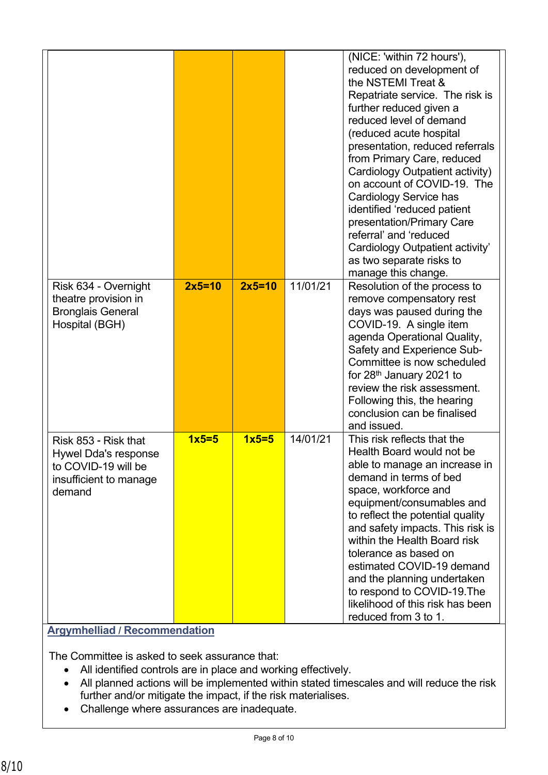|                                                                                                         |          |          |          | (NICE: 'within 72 hours'),<br>reduced on development of<br>the NSTEMI Treat &<br>Repatriate service. The risk is<br>further reduced given a<br>reduced level of demand<br>(reduced acute hospital<br>presentation, reduced referrals<br>from Primary Care, reduced<br>Cardiology Outpatient activity)<br>on account of COVID-19. The<br><b>Cardiology Service has</b><br>identified 'reduced patient<br>presentation/Primary Care<br>referral' and 'reduced<br>Cardiology Outpatient activity'<br>as two separate risks to<br>manage this change. |
|---------------------------------------------------------------------------------------------------------|----------|----------|----------|---------------------------------------------------------------------------------------------------------------------------------------------------------------------------------------------------------------------------------------------------------------------------------------------------------------------------------------------------------------------------------------------------------------------------------------------------------------------------------------------------------------------------------------------------|
| Risk 634 - Overnight<br>theatre provision in<br><b>Bronglais General</b><br>Hospital (BGH)              | $2x5=10$ | $2x5=10$ | 11/01/21 | Resolution of the process to<br>remove compensatory rest<br>days was paused during the<br>COVID-19. A single item<br>agenda Operational Quality,<br>Safety and Experience Sub-<br>Committee is now scheduled<br>for 28 <sup>th</sup> January 2021 to<br>review the risk assessment.<br>Following this, the hearing<br>conclusion can be finalised<br>and issued.                                                                                                                                                                                  |
| Risk 853 - Risk that<br>Hywel Dda's response<br>to COVID-19 will be<br>insufficient to manage<br>demand | $1x5=5$  | $1x5=5$  | 14/01/21 | This risk reflects that the<br>Health Board would not be<br>able to manage an increase in<br>demand in terms of bed<br>space, workforce and<br>equipment/consumables and<br>to reflect the potential quality<br>and safety impacts. This risk is<br>within the Health Board risk<br>tolerance as based on<br>estimated COVID-19 demand<br>and the planning undertaken<br>to respond to COVID-19. The<br>likelihood of this risk has been<br>reduced from 3 to 1.                                                                                  |

### **Argymhelliad / Recommendation**

The Committee is asked to seek assurance that:

- All identified controls are in place and working effectively.
- All planned actions will be implemented within stated timescales and will reduce the risk further and/or mitigate the impact, if the risk materialises.
- Challenge where assurances are inadequate.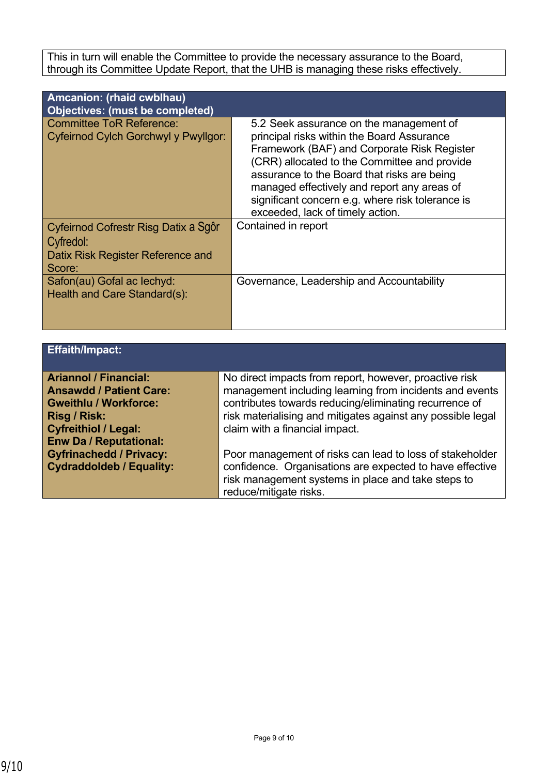This in turn will enable the Committee to provide the necessary assurance to the Board, through its Committee Update Report, that the UHB is managing these risks effectively.

| Amcanion: (rhaid cwblhau)<br>Objectives: (must be completed)                                     |                                                                                                                                                                                                                                                                                                                                                                            |
|--------------------------------------------------------------------------------------------------|----------------------------------------------------------------------------------------------------------------------------------------------------------------------------------------------------------------------------------------------------------------------------------------------------------------------------------------------------------------------------|
| <b>Committee ToR Reference:</b><br>Cyfeirnod Cylch Gorchwyl y Pwyllgor:                          | 5.2 Seek assurance on the management of<br>principal risks within the Board Assurance<br>Framework (BAF) and Corporate Risk Register<br>(CRR) allocated to the Committee and provide<br>assurance to the Board that risks are being<br>managed effectively and report any areas of<br>significant concern e.g. where risk tolerance is<br>exceeded, lack of timely action. |
| Cyfeirnod Cofrestr Risg Datix a Sgôr<br>Cyfredol:<br>Datix Risk Register Reference and<br>Score: | Contained in report                                                                                                                                                                                                                                                                                                                                                        |
| Safon(au) Gofal ac lechyd:<br>Health and Care Standard(s):                                       | Governance, Leadership and Accountability                                                                                                                                                                                                                                                                                                                                  |

| <b>Effaith/Impact:</b>                                         |                                                                                                                   |
|----------------------------------------------------------------|-------------------------------------------------------------------------------------------------------------------|
| <b>Ariannol / Financial:</b>                                   | No direct impacts from report, however, proactive risk                                                            |
| <b>Ansawdd / Patient Care:</b><br><b>Gweithlu / Workforce:</b> | management including learning from incidents and events<br>contributes towards reducing/eliminating recurrence of |
| <b>Risg / Risk:</b>                                            | risk materialising and mitigates against any possible legal                                                       |
| <b>Cyfreithiol / Legal:</b><br><b>Enw Da / Reputational:</b>   | claim with a financial impact.                                                                                    |
| <b>Gyfrinachedd / Privacy:</b>                                 | Poor management of risks can lead to loss of stakeholder                                                          |
| <b>Cydraddoldeb / Equality:</b>                                | confidence. Organisations are expected to have effective<br>risk management systems in place and take steps to    |
|                                                                | reduce/mitigate risks.                                                                                            |